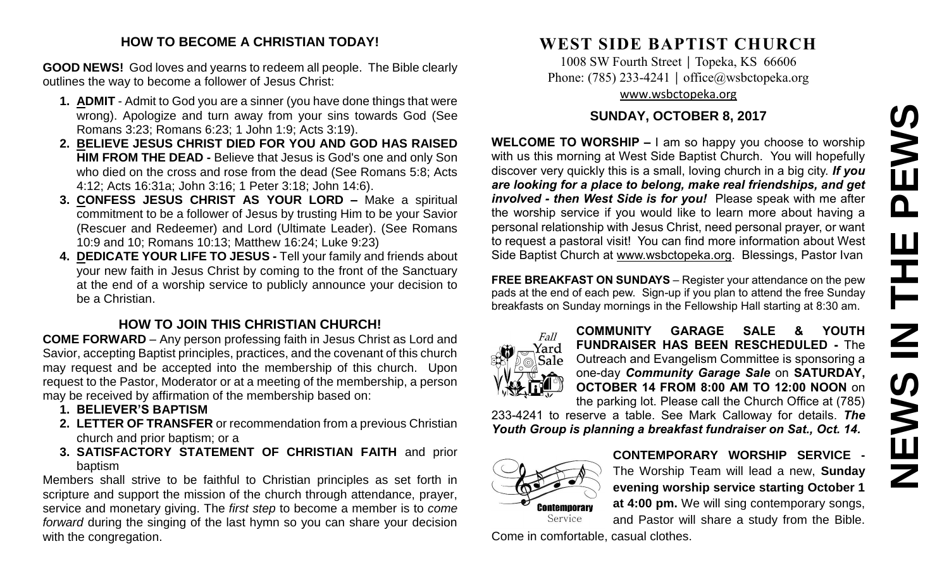# **NEWS IN THE PEWS**PEWS **THE** NS IN Z

#### **HOW TO BECOME A CHRISTIAN TODAY!**

**GOOD NEWS!** God loves and yearns to redeem all people. The Bible clearly outlines the way to become a follower of Jesus Christ:

- **1. ADMIT** Admit to God you are a sinner (you have done things that were wrong). Apologize and turn away from your sins towards God (See Romans 3:23; Romans 6:23; 1 John 1:9; Acts 3:19).
- **2. BELIEVE JESUS CHRIST DIED FOR YOU AND GOD HAS RAISED HIM FROM THE DEAD -** Believe that Jesus is God's one and only Son who died on the cross and rose from the dead (See Romans 5:8; Acts 4:12; Acts 16:31a; John 3:16; 1 Peter 3:18; John 14:6).
- **3. CONFESS JESUS CHRIST AS YOUR LORD –** Make a spiritual commitment to be a follower of Jesus by trusting Him to be your Savior (Rescuer and Redeemer) and Lord (Ultimate Leader). (See Romans 10:9 and 10; Romans 10:13; Matthew 16:24; Luke 9:23)
- **4. DEDICATE YOUR LIFE TO JESUS -** Tell your family and friends about your new faith in Jesus Christ by coming to the front of the Sanctuary at the end of a worship service to publicly announce your decision to be a Christian.

# **HOW TO JOIN THIS CHRISTIAN CHURCH!**

**COME FORWARD** – Any person professing faith in Jesus Christ as Lord and Savior, accepting Baptist principles, practices, and the covenant of this church may request and be accepted into the membership of this church. Upon request to the Pastor, Moderator or at a meeting of the membership, a person may be received by affirmation of the membership based on:

- **1. BELIEVER'S BAPTISM**
- **2. LETTER OF TRANSFER** or recommendation from a previous Christian church and prior baptism; or a
- **3. SATISFACTORY STATEMENT OF CHRISTIAN FAITH** and prior baptism

Members shall strive to be faithful to Christian principles as set forth in scripture and support the mission of the church through attendance, prayer, service and monetary giving. The *first step* to become a member is to *come forward* during the singing of the last hymn so you can share your decision with the congregation.

# **WEST SIDE BAPTIST CHURCH**

1008 SW Fourth Street | Topeka, KS 66606 Phone: (785) 233-4241 │ [office@wsbctopeka.org](mailto:office@wsbctopeka.org) [www.wsbctopeka.org](http://www.wsbctopeka.org/)

## **SUNDAY, OCTOBER 8, 2017**

**WELCOME TO WORSHIP –** I am so happy you choose to worship with us this morning at West Side Baptist Church. You will hopefully discover very quickly this is a small, loving church in a big city. *If you are looking for a place to belong, make real friendships, and get involved - then West Side is for you!* Please speak with me after the worship service if you would like to learn more about having a personal relationship with Jesus Christ, need personal prayer, or want to request a pastoral visit! You can find more information about West Side Baptist Church at [www.wsbctopeka.org.](http://www.wsbctopeka.org/) Blessings, Pastor Ivan

**FREE BREAKFAST ON SUNDAYS** – Register your attendance on the pew pads at the end of each pew. Sign-up if you plan to attend the free Sunday breakfasts on Sunday mornings in the Fellowship Hall starting at 8:30 am.



**COMMUNITY GARAGE SALE & YOUTH FUNDRAISER HAS BEEN RESCHEDULED -** The Outreach and Evangelism Committee is sponsoring a one-day *Community Garage Sale* on **SATURDAY, OCTOBER 14 FROM 8:00 AM TO 12:00 NOON** on the parking lot. Please call the Church Office at (785)

233-4241 to reserve a table. See Mark Calloway for details. *The Youth Group is planning a breakfast fundraiser on Sat., Oct. 14.* 



**CONTEMPORARY WORSHIP SERVICE -** The Worship Team will lead a new, **Sunday evening worship service starting October 1 at 4:00 pm.** We will sing contemporary songs, and Pastor will share a study from the Bible.

Come in comfortable, casual clothes.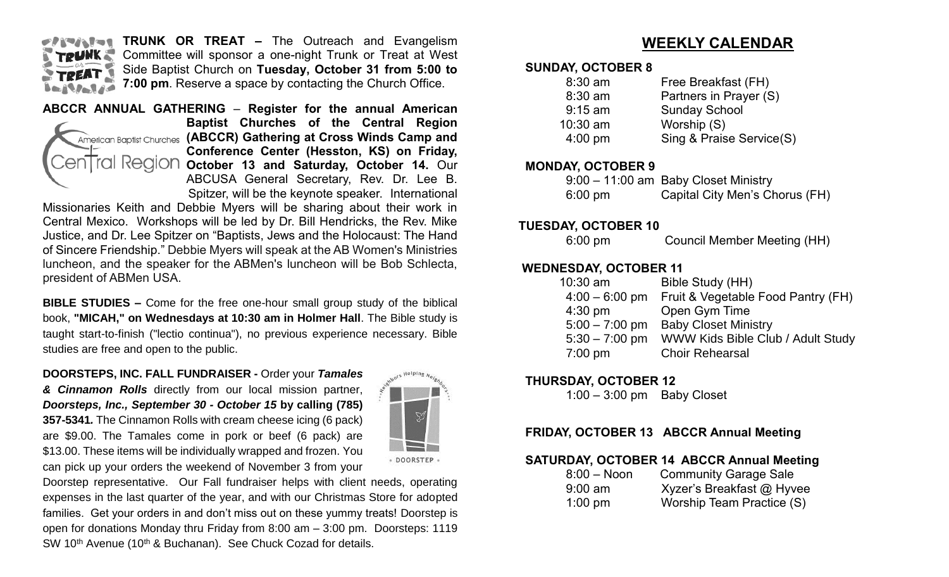

**TRUNK OR TREAT –** The Outreach and Evangelism Committee will sponsor a one-night Trunk or Treat at West Side Baptist Church on **Tuesday, October 31 from 5:00 to 7:00 pm**. Reserve a space by contacting the Church Office.



**ABCCR ANNUAL GATHERING** – **Register for the annual American Baptist Churches of the Central Region**  American Baptist Churches (ABCCR) Gathering at Cross Winds Camp and **Conference Center (Hesston, KS) on Friday, October 13 and Saturday, October 14.** Our ABCUSA General Secretary, Rev. Dr. Lee B. Spitzer, will be the keynote speaker. International

Missionaries Keith and Debbie Myers will be sharing about their work in Central Mexico. Workshops will be led by Dr. Bill Hendricks, the Rev. Mike Justice, and Dr. Lee Spitzer on "Baptists, Jews and the Holocaust: The Hand of Sincere Friendship." Debbie Myers will speak at the AB Women's Ministries luncheon, and the speaker for the ABMen's luncheon will be Bob Schlecta, president of ABMen USA.

**BIBLE STUDIES –** Come for the free one-hour small group study of the biblical book, **"MICAH," on Wednesdays at 10:30 am in Holmer Hall**. The Bible study is taught start-to-finish ("lectio continua"), no previous experience necessary. Bible studies are free and open to the public.

**DOORSTEPS, INC. FALL FUNDRAISER -** Order your *Tamales* 

*& Cinnamon Rolls* directly from our local mission partner, *Doorsteps, Inc., September 30 - October 15* **by calling (785) 357-5341***.* The Cinnamon Rolls with cream cheese icing (6 pack) are \$9.00. The Tamales come in pork or beef (6 pack) are \$13.00. These items will be individually wrapped and frozen. You can pick up your orders the weekend of November 3 from your



Doorstep representative. Our Fall fundraiser helps with client needs, operating expenses in the last quarter of the year, and with our Christmas Store for adopted families. Get your orders in and don't miss out on these yummy treats! Doorstep is open for donations Monday thru Friday from 8:00 am – 3:00 pm. Doorsteps: 1119 SW 10<sup>th</sup> Avenue (10<sup>th</sup> & Buchanan). See Chuck Cozad for details.

# **WEEKLY CALENDAR**

#### **SUNDAY, OCTOBER 8**

| $8:30$ am  | Free Breakfast (FH)      |
|------------|--------------------------|
| 8:30 am    | Partners in Prayer (S)   |
| $9:15$ am  | <b>Sunday School</b>     |
| $10:30$ am | Worship (S)              |
| $4:00$ pm  | Sing & Praise Service(S) |
|            |                          |

#### **MONDAY, OCTOBER 9**

|                   | 9:00 - 11:00 am Baby Closet Ministry |
|-------------------|--------------------------------------|
| $6:00 \text{ pm}$ | Capital City Men's Chorus (FH)       |

#### **TUESDAY, OCTOBER 10**

6:00 pm Council Member Meeting (HH)

#### **WEDNESDAY, OCTOBER 11**

| 10:30 am          | Bible Study (HH)                   |
|-------------------|------------------------------------|
| $4:00 - 6:00$ pm  | Fruit & Vegetable Food Pantry (FH) |
| $4:30$ pm         | Open Gym Time                      |
| $5:00 - 7:00$ pm  | <b>Baby Closet Ministry</b>        |
| $5:30 - 7:00$ pm  | WWW Kids Bible Club / Adult Study  |
| $7:00 \text{ pm}$ | <b>Choir Rehearsal</b>             |

#### **THURSDAY, OCTOBER 12**

1:00 – 3:00 pm Baby Closet

#### **FRIDAY, OCTOBER 13 ABCCR Annual Meeting**

#### **SATURDAY, OCTOBER 14 ABCCR Annual Meeting**

| $8:00 - N$ oon | <b>Community Garage Sale</b> |
|----------------|------------------------------|
| $9:00$ am      | Xyzer's Breakfast @ Hyvee    |
| $1:00$ pm      | Worship Team Practice (S)    |